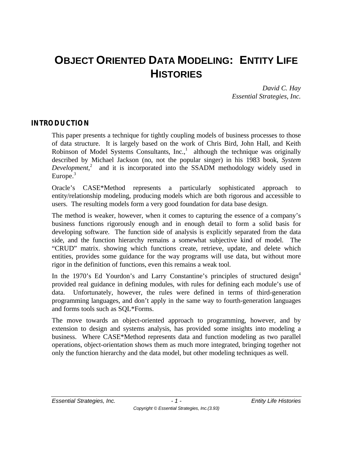# **OBJECT ORIENTED DATA MODELING: ENTITY LIFE HISTORIES**

*David C. Hay Essential Strategies, Inc.*

## **INTRODUCTION**

This paper presents a technique for tightly coupling models of business processes to those of data structure. It is largely based on the work of Chris Bird, John Hall, and Keith Robinson of Model Systems Consultants,  $Inc$ ,  $1$  although the technique was originally described by Michael Jackson (no, not the popular singer) in his 1983 book, *System* Development,<sup>2</sup> and it is incorporated into the SSADM methodology widely used in Europe. $3$ 

Oracle's CASE\*Method represents a particularly sophisticated approach to entity/relationship modeling, producing models which are both rigorous and accessible to users. The resulting models form a very good foundation for data base design.

The method is weaker, however, when it comes to capturing the essence of a company's business functions rigorously enough and in enough detail to form a solid basis for developing software. The function side of analysis is explicitly separated from the data side, and the function hierarchy remains a somewhat subjective kind of model. The "CRUD" matrix. showing which functions create, retrieve, update, and delete which entities, provides some guidance for the way programs will use data, but without more rigor in the definition of functions, even this remains a weak tool.

In the 1970's Ed Yourdon's and Larry Constantine's principles of structured design<sup>4</sup> provided real guidance in defining modules, with rules for defining each module's use of data. Unfortunately, however, the rules were defined in terms of third-generation programming languages, and don't apply in the same way to fourth-generation languages and forms tools such as SQL\*Forms.

The move towards an object-oriented approach to programming, however, and by extension to design and systems analysis, has provided some insights into modeling a business. Where CASE\*Method represents data and function modeling as two parallel operations, object-orientation shows them as much more integrated, bringing together not only the function hierarchy and the data model, but other modeling techniques as well.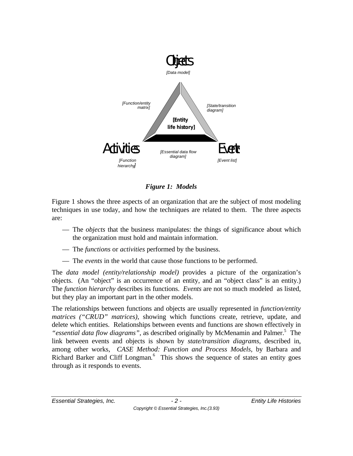

*Figure 1: Models*

Figure 1 shows the three aspects of an organization that are the subject of most modeling techniques in use today, and how the techniques are related to them. The three aspects are:

- The *objects* that the business manipulates: the things of significance about which the organization must hold and maintain information.
- The *functions* or *activities* performed by the business.
- The *events* in the world that cause those functions to be performed.

The *data model (entity/relationship model)* provides a picture of the organization's objects. (An "object" is an occurrence of an entity, and an "object class" is an entity.) The *function hierarchy* describes its functions. *Events* are not so much modeled as listed, but they play an important part in the other models.

The relationships between functions and objects are usually represented in *function/entity matrices ("CRUD" matrices)*, showing which functions create, retrieve, update, and delete which entities. Relationships between events and functions are shown effectively in "essential data flow diagrams", as described originally by McMenamin and Palmer.<sup>5</sup> The link between events and objects is shown by *state/transition diagrams,* described in, among other works, *CASE Method: Function and Process Models,* by Barbara and Richard Barker and Cliff Longman*.* 6 This shows the sequence of states an entity goes through as it responds to events.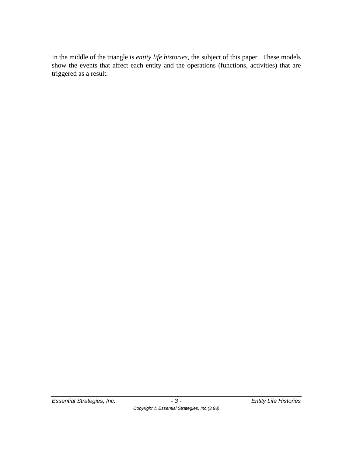In the middle of the triangle is *entity life histories*, the subject of this paper. These models show the events that affect each entity and the operations (functions, activities) that are triggered as a result.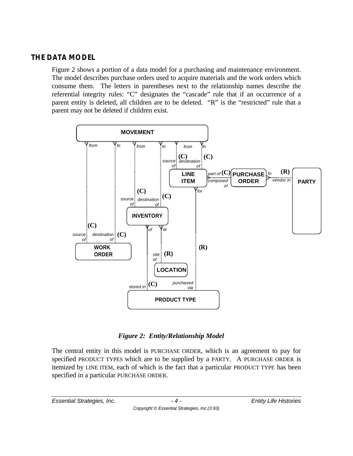## **THE DATA MODEL**

Figure 2 shows a portion of a data model for a purchasing and maintenance environment. The model describes purchase orders used to acquire materials and the work orders which consume them. The letters in parentheses next to the relationship names describe the referential integrity rules: "C" designates the "cascade" rule that if an occurrence of a parent entity is deleted, all children are to be deleted. "R" is the "restricted" rule that a parent may not be deleted if children exist.



*Figure 2: Entity/Relationship Model*

The central entity in this model is PURCHASE ORDER, which is an agreement to pay for specified PRODUCT TYPES which are to be supplied by a PARTY. A PURCHASE ORDER is itemized by LINE ITEM, each of which is the fact that a particular PRODUCT TYPE has been specified in a particular PURCHASE ORDER.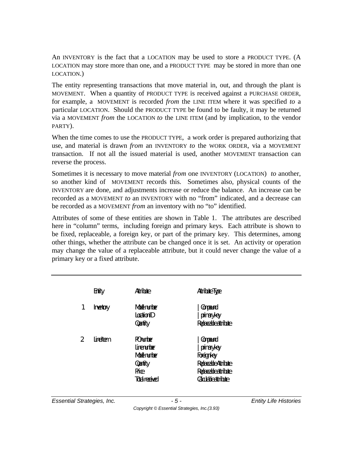An INVENTORY is the fact that a LOCATION may be used to store a PRODUCT TYPE. (A LOCATION may store more than one, and a PRODUCT TYPE may be stored in more than one LOCATION.)

The entity representing transactions that move material in, out, and through the plant is MOVEMENT. When a quantity of PRODUCT TYPE is received against a PURCHASE ORDER, for example, a MOVEMENT is recorded *from* the LINE ITEM where it was specified *to* a particular LOCATION. Should the PRODUCT TYPE be found to be faulty, it may be returned via a MOVEMENT *from* the LOCATION *to* the LINE ITEM (and by implication, to the vendor PARTY).

When the time comes to use the PRODUCT TYPE, a work order is prepared authorizing that use, and material is drawn *from* an INVENTORY *to* the WORK ORDER, via a MOVEMENT transaction. If not all the issued material is used, another MOVEMENT transaction can reverse the process.

Sometimes it is necessary to move material *from* one INVENTORY (LOCATION) *to* another, so another kind of MOVEMENT records this. Sometimes also, physical counts of the INVENTORY are done, and adjustments increase or reduce the balance. An increase can be recorded as a MOVEMENT *to* an INVENTORY with no "from" indicated, and a decrease can be recorded as a MOVEMENT *from* an inventory with no "to" identified.

Attributes of some of these entities are shown in Table 1. The attributes are described here in "column" terms, including foreign and primary keys. Each attribute is shown to be fixed, replaceable, a foreign key, or part of the primary key. This determines, among other things, whether the attribute can be changed once it is set. An activity or operation may change the value of a replaceable attribute, but it could never change the value of a primary key or a fixed attribute.

| <b>Frity</b>                       | <b>Attribute</b>              | Attribute Type              |
|------------------------------------|-------------------------------|-----------------------------|
| 1<br><b>Inertary</b>               | <b>Midel number</b>           | <b>Company</b>              |
|                                    | <b>I</b> cation <sup>ID</sup> | pinaryley                   |
|                                    | <b>Quitity</b>                | Replaceable attribute       |
| $\overline{2}$<br><b>line</b> Item | <b>POrumber</b>               | <b>Company</b>              |
|                                    | <b>I</b> irennber             | pinaryley                   |
|                                    | <b>Midel number</b>           | <b>Foreignley</b>           |
|                                    | <b>Quitity</b>                | Replaceable Attribute       |
|                                    | <b>Price</b>                  | Replaceable attribute       |
|                                    | <b>Total received</b>         | <b>Calculable attribute</b> |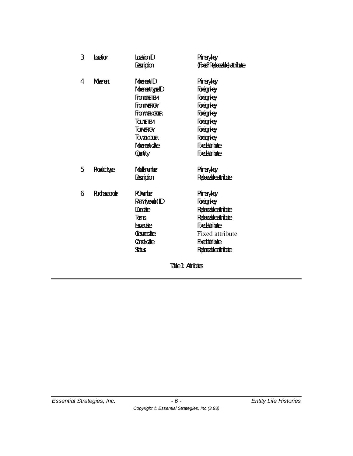| 3 | <b>Ination</b>      | <b>Ination</b> <sup>D</sup> | <b>Primary key</b>             |  |  |  |
|---|---------------------|-----------------------------|--------------------------------|--|--|--|
|   |                     | Description                 | (Fixed? Replaceable) attribute |  |  |  |
| 4 | <b>Movement</b>     | <b>Moment ID</b>            | Prinary key                    |  |  |  |
|   |                     | Movement type ID            | <b>Foreignley</b>              |  |  |  |
|   |                     | <b>From TNETTEM</b>         | <b>Foreignley</b>              |  |  |  |
|   |                     | From NANTORY                | <b>Foreignley</b>              |  |  |  |
|   |                     | FromWorkGroff               | <b>Foreign key</b>             |  |  |  |
|   |                     | <b>TOINEITEM</b>            | <b>Foreignley</b>              |  |  |  |
|   |                     | <b>TO INENTORY</b>          | <b>Foreignley</b>              |  |  |  |
|   |                     | <b>TO WORK ORDER</b>        | <b>Foreignley</b>              |  |  |  |
|   |                     | <b>Moenert chte</b>         | <b>Fixedattribute</b>          |  |  |  |
|   |                     | Qurtity                     | <b>Fxedattrib.te</b>           |  |  |  |
| 5 | <b>Product type</b> | <b>Md</b> nm her            | <b>Primary key</b>             |  |  |  |
|   |                     | Description                 | Redaceable attribute           |  |  |  |
| 6 | <b>Richseader</b>   | <b>R</b> umber              | <b>Primary key</b>             |  |  |  |
|   |                     | <b>PARIY(ventor) ID</b>     | Foreignkey                     |  |  |  |
|   |                     | Dedie                       | Redaceable attribute           |  |  |  |
|   |                     | <b>Tems</b>                 | Replaceable attribute          |  |  |  |
|   |                     | <b>k</b> snedate            | <b>Fixed attribute</b>         |  |  |  |
|   |                     | <b>Closure date</b>         | <b>Fixed attribute</b>         |  |  |  |
|   |                     | <b>Carrel date</b>          | <b>Fxedattribute</b>           |  |  |  |
|   |                     | <b>Status</b>               | Redaceable attribute           |  |  |  |
|   |                     | Table 1: Attributes         |                                |  |  |  |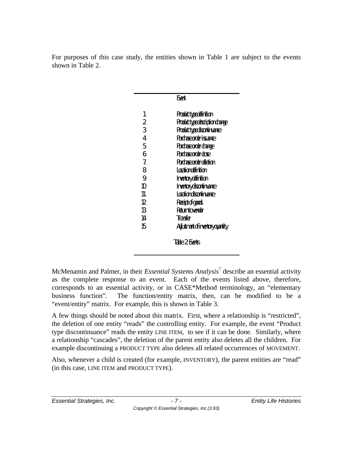For purposes of this case study, the entities shown in Table 1 are subject to the events shown in Table 2.

|                | Frent                                   |
|----------------|-----------------------------------------|
| 1.             | <b>Product type definition</b>          |
| $\overline{2}$ | Product type description change         |
| 3              | <b>Product type discontinuance</b>      |
| 4              | <b>Richase order issuarce</b>           |
| 5              | Rudnse order dange                      |
| 6              | <b>Ridine order dose</b>                |
| 7              | Rırdase order deletion                  |
| 8              | Iaxtiondefinition                       |
| 9              | Inertaydefinition                       |
| 10             | Inertaydscartinance                     |
| 11.            | Ioationdsontiname                       |
| 12             | Receipt of goods                        |
| 13             | <b>Returnto vendar</b>                  |
| 14             | Tianster                                |
| 15             | <b>Adjustment of inventory quantity</b> |
|                |                                         |

*Table 2: Events*

McMenamin and Palmer, in their *Essential Systems Analysis*<sup>7</sup> describe an essential activity as the complete response to an event. Each of the events listed above, therefore, corresponds to an essential activity, or in CASE\*Method terminology, an "elementary business function". The function/entity matrix, then, can be modified to be a "event/entity" matrix. For example, this is shown in Table 3.

A few things should be noted about this matrix. First, where a relationship is "restricted", the deletion of one entity "reads" the controlling entity. For example, the event "Product type discontinuance" reads the entity LINE ITEM, to see if it can be done. Similarly, where a relationship "cascades", the deletion of the parent entity also deletes all the children. For example discontinuing a PRODUCT TYPE also deletes all related occurrences of MOVEMENT.

Also, whenever a child is created (for example, INVENTORY), the parent entities are "read" (in this case, LINE ITEM and PRODUCT TYPE).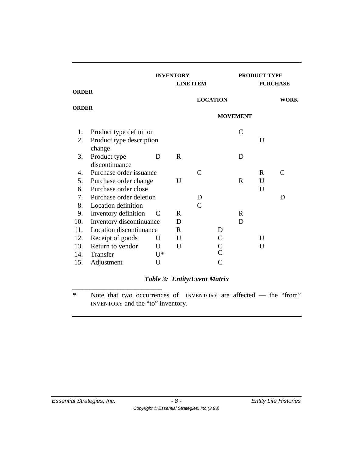|              |                                |       | <b>INVENTORY</b><br><b>LINE ITEM</b> |                 |                | <b>PRODUCT TYPE</b><br><b>PURCHASE</b> |             |              |
|--------------|--------------------------------|-------|--------------------------------------|-----------------|----------------|----------------------------------------|-------------|--------------|
| <b>ORDER</b> |                                |       |                                      |                 |                |                                        |             |              |
| <b>ORDER</b> |                                |       |                                      | <b>LOCATION</b> |                |                                        |             | <b>WORK</b>  |
|              |                                |       | <b>MOVEMENT</b>                      |                 |                |                                        |             |              |
| 1.           | Product type definition        |       |                                      |                 |                | $\mathcal{C}$                          |             |              |
| 2.           | Product type description       |       |                                      |                 |                |                                        | U           |              |
|              | change                         |       |                                      |                 |                |                                        |             |              |
| 3.           | Product type<br>discontinuance | D     | $\mathbf R$                          |                 |                | D                                      |             |              |
| 4.           | Purchase order issuance        |       |                                      | C               |                |                                        | $\mathbf R$ | $\mathsf{C}$ |
| 5.           | Purchase order change          |       | U                                    |                 |                | R                                      | U           |              |
| 6.           | Purchase order close           |       |                                      |                 |                |                                        | U           |              |
| 7.           | Purchase order deletion        |       |                                      | D               |                |                                        |             | D            |
| 8.           | Location definition            |       |                                      | $\mathcal{C}$   |                |                                        |             |              |
| 9.           | Inventory definition           | C     | R                                    |                 |                | R                                      |             |              |
| 10.          | Inventory discontinuance       |       | D                                    |                 |                | D                                      |             |              |
| 11.          | Location discontinuance        |       | R                                    |                 | D              |                                        |             |              |
| 12.          | Receipt of goods               | U     | U                                    |                 | $\mathsf{C}$   |                                        | U           |              |
| 13.          | Return to vendor               | U     | U                                    |                 | $\mathsf C$    |                                        | U           |              |
| 14.          | Transfer                       | $U^*$ |                                      |                 | $\overline{C}$ |                                        |             |              |
| 15.          | Adjustment                     | U     |                                      |                 | C              |                                        |             |              |

## *Table 3: Entity/Event Matrix*

*\** Note that two occurrences of INVENTORY are affected — the "from" INVENTORY and the "to" inventory.

*\_\_\_\_\_\_\_\_\_\_\_\_\_\_\_\_\_\_\_\_\_\_\_\_\_\_*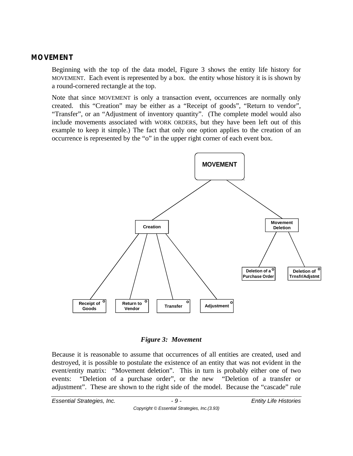#### **MOVEMENT**

Beginning with the top of the data model, Figure 3 shows the entity life history for MOVEMENT. Each event is represented by a box. the entity whose history it is is shown by a round-cornered rectangle at the top.

Note that since MOVEMENT is only a transaction event, occurrences are normally only created. this "Creation" may be either as a "Receipt of goods", "Return to vendor", "Transfer", or an "Adjustment of inventory quantity". (The complete model would also include movements associated with WORK ORDERS, but they have been left out of this example to keep it simple.) The fact that only one option applies to the creation of an occurrence is represented by the "o" in the upper right corner of each event box.



#### *Figure 3: Movement*

Because it is reasonable to assume that occurrences of all entities are created, used and destroyed, it is possible to postulate the existence of an entity that was not evident in the event/entity matrix: "Movement deletion". This in turn is probably either one of two events: "Deletion of a purchase order", or the new "Deletion of a transfer or adjustment". These are shown to the right side of the model. Because the "cascade" rule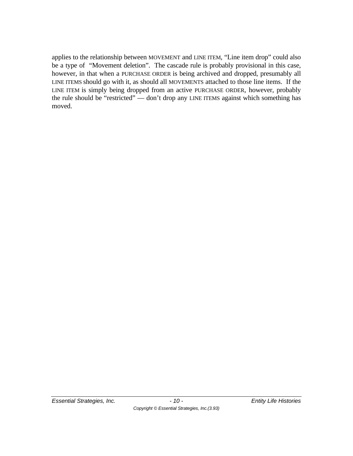applies to the relationship between MOVEMENT and LINE ITEM, "Line item drop" could also be a type of "Movement deletion". The cascade rule is probably provisional in this case, however, in that when a PURCHASE ORDER is being archived and dropped, presumably all LINE ITEMS should go with it, as should all MOVEMENTS attached to those line items. If the LINE ITEM is simply being dropped from an active PURCHASE ORDER, however, probably the rule should be "restricted" — don't drop any LINE ITEMS against which something has moved.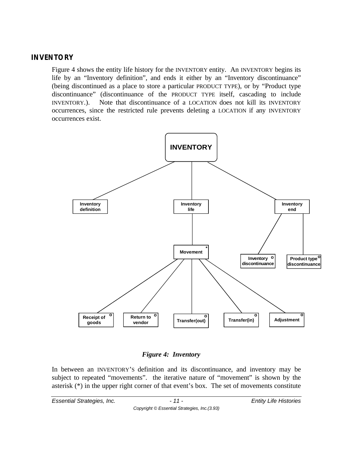#### **INVENTORY**

Figure 4 shows the entity life history for the INVENTORY entity. An INVENTORY begins its life by an "Inventory definition", and ends it either by an "Inventory discontinuance" (being discontinued as a place to store a particular PRODUCT TYPE), or by "Product type discontinuance" (discontinuance of the PRODUCT TYPE itself, cascading to include INVENTORY.). Note that discontinuance of a LOCATION does not kill its INVENTORY occurrences, since the restricted rule prevents deleting a LOCATION if any INVENTORY occurrences exist.



#### *Figure 4: Inventory*

In between an INVENTORY'S definition and its discontinuance, and inventory may be subject to repeated "movements". the iterative nature of "movement" is shown by the asterisk (\*) in the upper right corner of that event's box. The set of movements constitute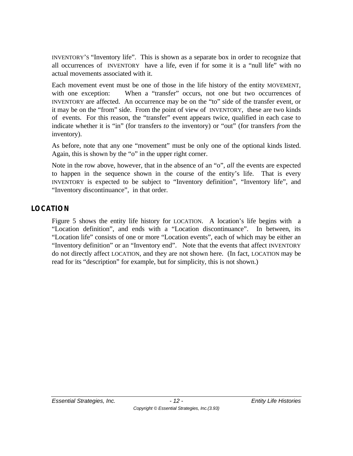INVENTORY'S "Inventory life". This is shown as a separate box in order to recognize that all occurrences of INVENTORY have a life, even if for some it is a "null life" with no actual movements associated with it.

Each movement event must be one of those in the life history of the entity MOVEMENT, with one exception: When a "transfer" occurs, not one but two occurrences of INVENTORY are affected. An occurrence may be on the "to" side of the transfer event, or it may be on the "from" side. From the point of view of INVENTORY, these are two kinds of events. For this reason, the "transfer" event appears twice, qualified in each case to indicate whether it is "in" (for transfers *to* the inventory) or "out" (for transfers *from* the inventory).

As before, note that any one "movement" must be only one of the optional kinds listed. Again, this is shown by the "o" in the upper right corner.

Note in the row above, however, that in the absence of an "o", *all* the events are expected to happen in the sequence shown in the course of the entity's life. That is every INVENTORY is expected to be subject to "Inventory definition", "Inventory life", and "Inventory discontinuance", in that order.

## **LOCATION**

Figure 5 shows the entity life history for LOCATION. A location's life begins with a "Location definition", and ends with a "Location discontinuance". In between, its "Location life" consists of one or more "Location events", each of which may be either an "Inventory definition" or an "Inventory end". Note that the events that affect INVENTORY do not directly affect LOCATION, and they are not shown here. (In fact, LOCATION may be read for its "description" for example, but for simplicity, this is not shown.)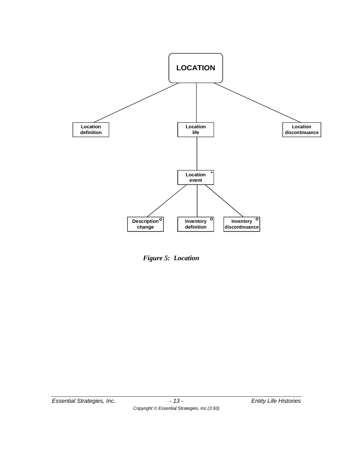

*Figure 5: Location*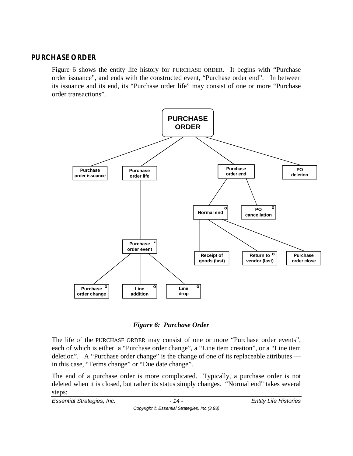### **PURCHASE ORDER**

Figure 6 shows the entity life history for PURCHASE ORDER. It begins with "Purchase order issuance", and ends with the constructed event, "Purchase order end". In between its issuance and its end, its "Purchase order life" may consist of one or more "Purchase order transactions".





The life of the PURCHASE ORDER may consist of one or more "Purchase order events", each of which is either a "Purchase order change", a "Line item creation", or a "Line item deletion". A "Purchase order change" is the change of one of its replaceable attributes in this case, "Terms change" or "Due date change".

The end of a purchase order is more complicated. Typically, a purchase order is not deleted when it is closed, but rather its status simply changes. "Normal end" takes several steps:

*Essential Strategies, Inc. - 14 - Entity Life Histories*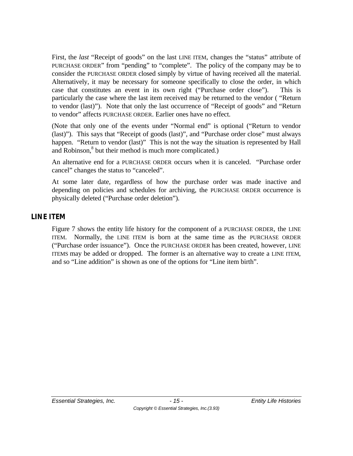First, the *last* "Receipt of goods" on the last LINE ITEM, changes the "status" attribute of PURCHASE ORDER" from "pending" to "complete". The policy of the company may be to consider the PURCHASE ORDER closed simply by virtue of having received all the material. Alternatively, it may be necessary for someone specifically to close the order, in which case that constitutes an event in its own right ("Purchase order close"). This is particularly the case where the last item received may be returned to the vendor ( "Return to vendor (last)"). Note that only the last occurrence of "Receipt of goods" and "Return to vendor" affects PURCHASE ORDER. Earlier ones have no effect.

(Note that only one of the events under "Normal end" is optional ("Return to vendor (last)"). This says that "Receipt of goods (last)", and "Purchase order close" must always happen. "Return to vendor (last)" This is not the way the situation is represented by Hall and Robinson,<sup>8</sup> but their method is much more complicated.)

An alternative end for a PURCHASE ORDER occurs when it is canceled. "Purchase order cancel" changes the status to "canceled".

At some later date, regardless of how the purchase order was made inactive and depending on policies and schedules for archiving, the PURCHASE ORDER occurrence is physically deleted ("Purchase order deletion").

## **LINE ITEM**

Figure 7 shows the entity life history for the component of a PURCHASE ORDER, the LINE ITEM. Normally, the LINE ITEM is born at the same time as the PURCHASE ORDER ("Purchase order issuance"). Once the PURCHASE ORDER has been created, however, LINE ITEMS may be added or dropped. The former is an alternative way to create a LINE ITEM, and so "Line addition" is shown as one of the options for "Line item birth".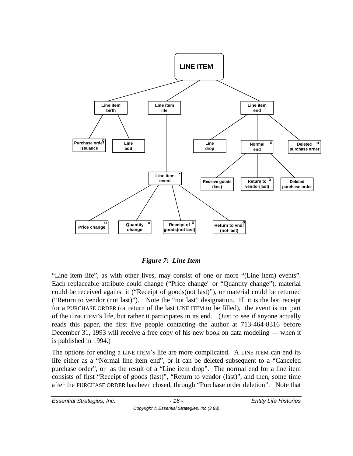

#### *Figure 7: Line Item*

"Line item life", as with other lives, may consist of one or more "(Line item) events". Each replaceable attribute could change ("Price change" or "Quantity change"), material could be received against it ("Receipt of goods(not last)"), or material could be returned ("Return to vendor (not last)"). Note the "not last" designation. If it is the last receipt for a PURCHASE ORDER (or return of the last LINE ITEM to be filled), the event is not part of the LINE ITEM'S life, but rather it participates in its end. (Just to see if anyone actually reads this paper, the first five people contacting the author at 713-464-8316 before December 31, 1993 will receive a free copy of his new book on data modeling — when it is published in 1994.)

The options for ending a LINE ITEM'S life are more complicated. A LINE ITEM can end its life either as a "Normal line item end", or it can be deleted subsequent to a "Canceled purchase order", or as the result of a "Line item drop". The normal end for a line item consists of first "Receipt of goods (last)", "Return to vendor (last)", and then, some time after the PURCHASE ORDER has been closed, through "Purchase order deletion". Note that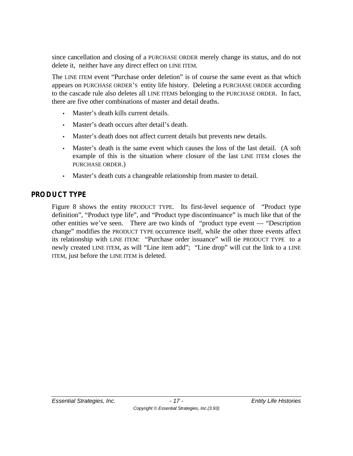since cancellation and closing of a PURCHASE ORDER merely change its status, and do not delete it, neither have any direct effect on LINE ITEM.

The LINE ITEM event "Purchase order deletion" is of course the same event as that which appears on PURCHASE ORDER'S entity life history. Deleting a PURCHASE ORDER according to the cascade rule also deletes all LINE ITEMS belonging to the PURCHASE ORDER. In fact, there are five other combinations of master and detail deaths.

- Master's death kills current details.
- Master's death occurs after detail's death.
- Master's death does not affect current details but prevents new details.
- Master's death is the same event which causes the loss of the last detail. (A soft example of this is the situation where closure of the last LINE ITEM closes the PURCHASE ORDER.)
- Master's death cuts a changeable relationship from master to detail.

## **PRODUCT TYPE**

Figure 8 shows the entity PRODUCT TYPE. Its first-level sequence of "Product type definition", "Product type life", and "Product type discontinuance" is much like that of the other entities we've seen. There are two kinds of "product type event — "Description change" modifies the PRODUCT TYPE occurrence itself, while the other three events affect its relationship with LINE ITEM: "Purchase order issuance" will tie PRODUCT TYPE to a newly created LINE ITEM, as will "Line item add"; "Line drop" will cut the link to a LINE ITEM, just before the LINE ITEM is deleted.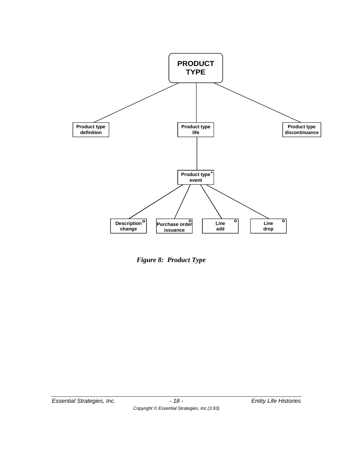

*Figure 8: Product Type*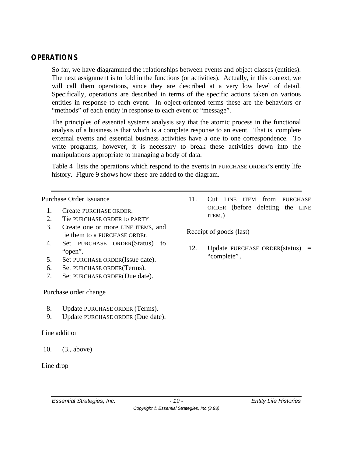## **OPERATIONS**

So far, we have diagrammed the relationships between events and object classes (entities). The next assignment is to fold in the functions (or activities). Actually, in this context, we will call them operations, since they are described at a very low level of detail. Specifically, operations are described in terms of the specific actions taken on various entities in response to each event. In object-oriented terms these are the behaviors or "methods" of each entity in response to each event or "message".

The principles of essential systems analysis say that the atomic process in the functional analysis of a business is that which is a complete response to an event. That is, complete external events and essential business activities have a one to one correspondence. To write programs, however, it is necessary to break these activities down into the manipulations appropriate to managing a body of data.

Table 4 lists the operations which respond to the events in PURCHASE ORDER'S entity life history. Figure 9 shows how these are added to the diagram.

Purchase Order Issuance

- 1. Create PURCHASE ORDER.
- 2. Tie PURCHASE ORDER to PARTY
- 3. Create one or more LINE ITEMS, and tie them to a PURCHASE ORDEr.
- 4. Set PURCHASE ORDER(Status) to "open".
- 5. Set PURCHASE ORDER(Issue date).
- 6. Set PURCHASE ORDER(Terms).
- 7. Set PURCHASE ORDER(Due date).

#### Purchase order change

- 8. Update PURCHASE ORDER (Terms).
- 9. Update PURCHASE ORDER (Due date).

#### Line addition

10. (3., above)

#### Line drop

11. Cut LINE ITEM from PURCHASE ORDER (before deleting the LINE ITEM.)

Receipt of goods (last)

12. Update PURCHASE ORDER(status) = "complete".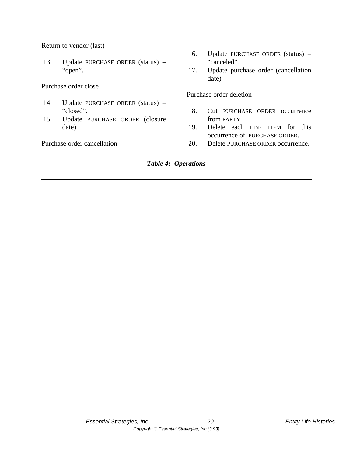Return to vendor (last)

13. Update PURCHASE ORDER (status) = "open".

Purchase order close

- 14. Update PURCHASE ORDER (status) = "closed".
- 15. Update PURCHASE ORDER (closure date)

Purchase order cancellation

- 16. Update PURCHASE ORDER (status) = "canceled".
- 17. Update purchase order (cancellation date)

Purchase order deletion

- 18. Cut PURCHASE ORDER occurrence from PARTY
- 19. Delete each LINE ITEM for this occurrence of PURCHASE ORDER.
- 20. Delete PURCHASE ORDER occurrence.

#### *Table 4: Operations*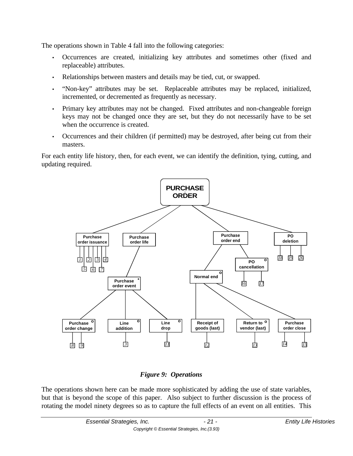The operations shown in Table 4 fall into the following categories:

- Occurrences are created, initializing key attributes and sometimes other (fixed and replaceable) attributes.
- Relationships between masters and details may be tied, cut, or swapped.
- "Non-key" attributes may be set. Replaceable attributes may be replaced, initialized, incremented, or decremented as frequently as necessary.
- Primary key attributes may not be changed. Fixed attributes and non-changeable foreign keys may not be changed once they are set, but they do not necessarily have to be set when the occurrence is created.
- Occurrences and their children (if permitted) may be destroyed, after being cut from their masters.

For each entity life history, then, for each event, we can identify the definition, tying, cutting, and updating required.



### *Figure 9: Operations*

The operations shown here can be made more sophisticated by adding the use of state variables, but that is beyond the scope of this paper. Also subject to further discussion is the process of rotating the model ninety degrees so as to capture the full effects of an event on all entities. This